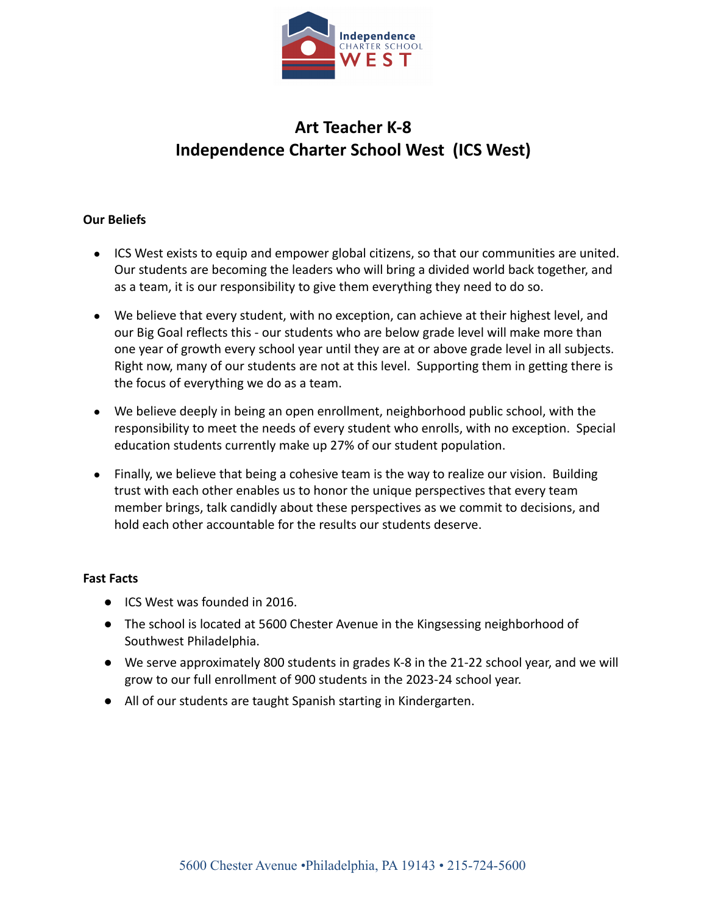

# **Art Teacher K-8 Independence Charter School West (ICS West)**

## **Our Beliefs**

- ICS West exists to equip and empower global citizens, so that our communities are united. Our students are becoming the leaders who will bring a divided world back together, and as a team, it is our responsibility to give them everything they need to do so.
- We believe that every student, with no exception, can achieve at their highest level, and our Big Goal reflects this - our students who are below grade level will make more than one year of growth every school year until they are at or above grade level in all subjects. Right now, many of our students are not at this level. Supporting them in getting there is the focus of everything we do as a team.
- We believe deeply in being an open enrollment, neighborhood public school, with the responsibility to meet the needs of every student who enrolls, with no exception. Special education students currently make up 27% of our student population.
- Finally, we believe that being a cohesive team is the way to realize our vision. Building trust with each other enables us to honor the unique perspectives that every team member brings, talk candidly about these perspectives as we commit to decisions, and hold each other accountable for the results our students deserve.

### **Fast Facts**

- ICS West was founded in 2016.
- The school is located at 5600 Chester Avenue in the Kingsessing neighborhood of Southwest Philadelphia.
- We serve approximately 800 students in grades K-8 in the 21-22 school year, and we will grow to our full enrollment of 900 students in the 2023-24 school year.
- All of our students are taught Spanish starting in Kindergarten.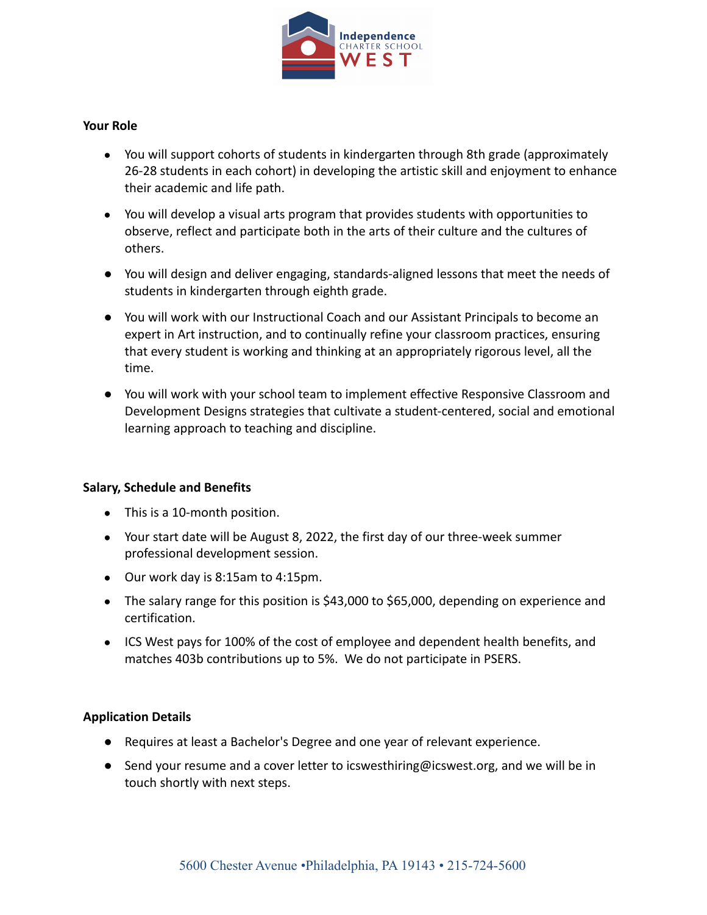

### **Your Role**

- You will support cohorts of students in kindergarten through 8th grade (approximately 26-28 students in each cohort) in developing the artistic skill and enjoyment to enhance their academic and life path.
- You will develop a visual arts program that provides students with opportunities to observe, reflect and participate both in the arts of their culture and the cultures of others.
- You will design and deliver engaging, standards-aligned lessons that meet the needs of students in kindergarten through eighth grade.
- You will work with our Instructional Coach and our Assistant Principals to become an expert in Art instruction, and to continually refine your classroom practices, ensuring that every student is working and thinking at an appropriately rigorous level, all the time.
- You will work with your school team to implement effective Responsive Classroom and Development Designs strategies that cultivate a student-centered, social and emotional learning approach to teaching and discipline.

### **Salary, Schedule and Benefits**

- This is a 10-month position.
- Your start date will be August 8, 2022, the first day of our three-week summer professional development session.
- Our work day is 8:15am to 4:15pm.
- The salary range for this position is \$43,000 to \$65,000, depending on experience and certification.
- ICS West pays for 100% of the cost of employee and dependent health benefits, and matches 403b contributions up to 5%. We do not participate in PSERS.

### **Application Details**

- Requires at least a Bachelor's Degree and one year of relevant experience.
- Send your resume and a cover letter to [icswesthiring@icswest.org,](mailto:icswesthiring@icswest.org) and we will be in touch shortly with next steps.